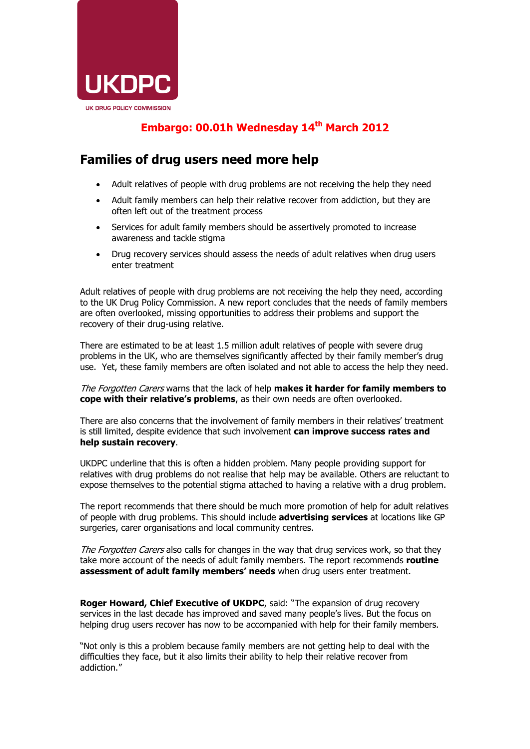

## **Embargo: 00.01h Wednesday 14th March 2012**

## **Families of drug users need more help**

- Adult relatives of people with drug problems are not receiving the help they need
- Adult family members can help their relative recover from addiction, but they are often left out of the treatment process
- Services for adult family members should be assertively promoted to increase awareness and tackle stigma
- Drug recovery services should assess the needs of adult relatives when drug users enter treatment

Adult relatives of people with drug problems are not receiving the help they need, according to the UK Drug Policy Commission. A new report concludes that the needs of family members are often overlooked, missing opportunities to address their problems and support the recovery of their drug-using relative.

There are estimated to be at least 1.5 million adult relatives of people with severe drug problems in the UK, who are themselves significantly affected by their family member's drug use. Yet, these family members are often isolated and not able to access the help they need.

The Forgotten Carers warns that the lack of help **makes it harder for family members to cope with their relative's problems**, as their own needs are often overlooked.

There are also concerns that the involvement of family members in their relatives' treatment is still limited, despite evidence that such involvement **can improve success rates and help sustain recovery**.

UKDPC underline that this is often a hidden problem. Many people providing support for relatives with drug problems do not realise that help may be available. Others are reluctant to expose themselves to the potential stigma attached to having a relative with a drug problem.

The report recommends that there should be much more promotion of help for adult relatives of people with drug problems. This should include **advertising services** at locations like GP surgeries, carer organisations and local community centres.

The Forgotten Carers also calls for changes in the way that drug services work, so that they take more account of the needs of adult family members. The report recommends **routine assessment of adult family members' needs** when drug users enter treatment.

**Roger Howard, Chief Executive of UKDPC**, said: "The expansion of drug recovery services in the last decade has improved and saved many people's lives. But the focus on helping drug users recover has now to be accompanied with help for their family members.

"Not only is this a problem because family members are not getting help to deal with the difficulties they face, but it also limits their ability to help their relative recover from addiction."